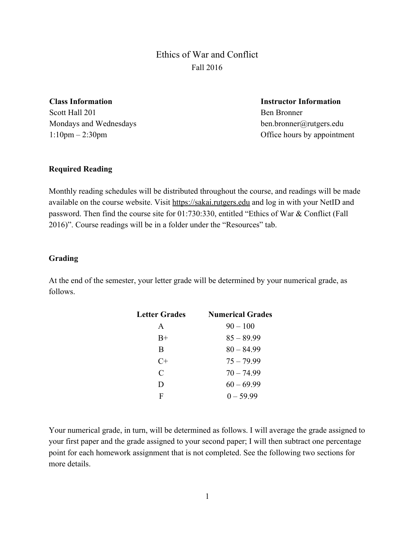Ethics of War and Conflict Fall 2016

**Class Information**

Scott Hall 201 Mondays and Wednesdays 1:10pm – 2:30pm

**Instructor Information** Ben Bronner ben.bronner@rutgers.edu Office hours by appointment

#### **Required Reading**

Monthly reading schedules will be distributed throughout the course, and readings will be made available on the course website. Visit [https://sakai.rutgers.edu](https://sakai.rutgers.edu/) and log in with your NetID and password. Then find the course site for 01:730:330, entitled "Ethics of War & Conflict (Fall 2016)". Course readings will be in a folder under the "Resources" tab.

#### **Grading**

At the end of the semester, your letter grade will be determined by your numerical grade, as follows.

| Letter Grades | <b>Numerical Grades</b> |
|---------------|-------------------------|
| A             | $90 - 100$              |
| $B+$          | $85 - 89.99$            |
| B             | $80 - 84.99$            |
| $C+$          | $75 - 79.99$            |
| C             | $70 - 74.99$            |
| D             | $60 - 69.99$            |
| F             | $0 - 59.99$             |
|               |                         |

Your numerical grade, in turn, will be determined as follows. I will average the grade assigned to your first paper and the grade assigned to your second paper; I will then subtract one percentage point for each homework assignment that is not completed. See the following two sections for more details.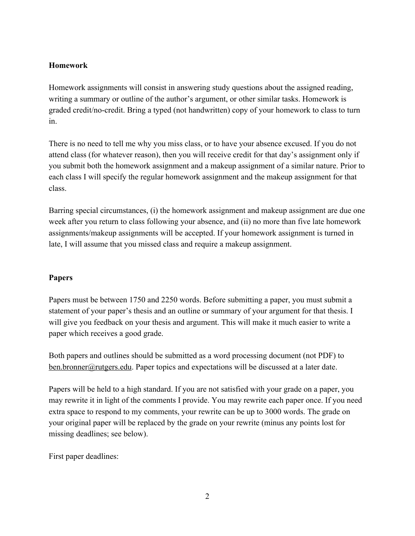## **Homework**

Homework assignments will consist in answering study questions about the assigned reading, writing a summary or outline of the author's argument, or other similar tasks. Homework is graded credit/no-credit. Bring a typed (not handwritten) copy of your homework to class to turn in.

There is no need to tell me why you miss class, or to have your absence excused. If you do not attend class (for whatever reason), then you will receive credit for that day's assignment only if you submit both the homework assignment and a makeup assignment of a similar nature. Prior to each class I will specify the regular homework assignment and the makeup assignment for that class.

Barring special circumstances, (i) the homework assignment and makeup assignment are due one week after you return to class following your absence, and (ii) no more than five late homework assignments/makeup assignments will be accepted. If your homework assignment is turned in late, I will assume that you missed class and require a makeup assignment.

### **Papers**

Papers must be between 1750 and 2250 words. Before submitting a paper, you must submit a statement of your paper's thesis and an outline or summary of your argument for that thesis. I will give you feedback on your thesis and argument. This will make it much easier to write a paper which receives a good grade.

Both papers and outlines should be submitted as a word processing document (not PDF) to [ben.bronner@rutgers.edu.](mailto:ben.bronner@rutgers.edu) Paper topics and expectations will be discussed at a later date.

Papers will be held to a high standard. If you are not satisfied with your grade on a paper, you may rewrite it in light of the comments I provide. You may rewrite each paper once. If you need extra space to respond to my comments, your rewrite can be up to 3000 words. The grade on your original paper will be replaced by the grade on your rewrite (minus any points lost for missing deadlines; see below).

First paper deadlines: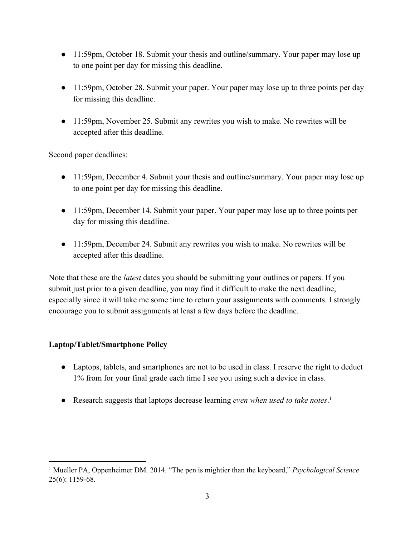- 11:59pm, October 18. Submit your thesis and outline/summary. Your paper may lose up to one point per day for missing this deadline.
- 11:59pm, October 28. Submit your paper. Your paper may lose up to three points per day for missing this deadline.
- 11:59pm, November 25. Submit any rewrites you wish to make. No rewrites will be accepted after this deadline.

Second paper deadlines:

- 11:59pm, December 4. Submit your thesis and outline/summary. Your paper may lose up to one point per day for missing this deadline.
- 11:59pm, December 14. Submit your paper. Your paper may lose up to three points per day for missing this deadline.
- 11:59pm, December 24. Submit any rewrites you wish to make. No rewrites will be accepted after this deadline.

Note that these are the *latest* dates you should be submitting your outlines or papers. If you submit just prior to a given deadline, you may find it difficult to make the next deadline, especially since it will take me some time to return your assignments with comments. I strongly encourage you to submit assignments at least a few days before the deadline.

# **Laptop/Tablet/Smartphone Policy**

- Laptops, tablets, and smartphones are not to be used in class. I reserve the right to deduct 1% from for your final grade each time I see you using such a device in class.
- Research suggests that laptops decrease learning *even when used to take notes*. 1

<sup>&</sup>lt;sup>1</sup> Mueller PA, Oppenheimer DM. 2014. "The pen is mightier than the keyboard," *Psychological Science*  $25(6)$ : 1159-68.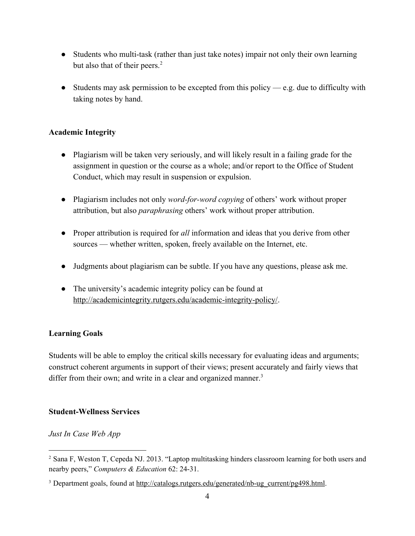- Students who multi-task (rather than just take notes) impair not only their own learning but also that of their peers.<sup>2</sup>
- Students may ask permission to be excepted from this policy e.g. due to difficulty with taking notes by hand.

## **Academic Integrity**

- Plagiarism will be taken very seriously, and will likely result in a failing grade for the assignment in question or the course as a whole; and/or report to the Office of Student Conduct, which may result in suspension or expulsion.
- Plagiarism includes not only *word-for-word copying* of others' work without proper attribution, but also *paraphrasing* others' work without proper attribution.
- Proper attribution is required for *all* information and ideas that you derive from other sources — whether written, spoken, freely available on the Internet, etc.
- Judgments about plagiarism can be subtle. If you have any questions, please ask me.
- The university's academic integrity policy can be found at http://academicintegrity.rutgers.edu/academic-integrity-policy/.

# **Learning Goals**

Students will be able to employ the critical skills necessary for evaluating ideas and arguments; construct coherent arguments in support of their views; present accurately and fairly views that differ from their own; and write in a clear and organized manner.<sup>3</sup>

# **Student-Wellness Services**

# *[Just In Case Web App](http://h/)*

<sup>2</sup> Sana F, Weston T, Cepeda NJ. 2013. "Laptop multitasking hinders classroom learning for both users and nearby peers," *Computers & Education* 62: 24-31.

<sup>&</sup>lt;sup>3</sup> Department goals, found at http://catalogs.rutgers.edu/generated/nb-ug\_current/pg498.html.